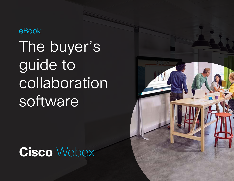eBook: The buyer's guide to collaboration **software** 



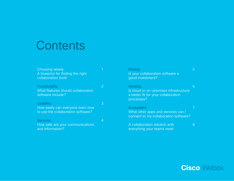### **Contents**

| Choosing wisely:<br>A blueprint for finding the right<br>collaboration tools          |                | Pricing:<br>Is your collaboration software a<br>good investment?                                        | 5 |
|---------------------------------------------------------------------------------------|----------------|---------------------------------------------------------------------------------------------------------|---|
| Functionality:<br>What features should collaboration<br>software include?             | $\overline{2}$ | Hosting:<br>Is cloud or on-premises infrastructure<br>a better fit for your collaboration<br>processes? | 6 |
| Usability:<br>How easily can everyone learn how<br>to use the collaboration software? | 3              | Ecosystem:<br>What other apps and services can I<br>connect to my collaboration software?               | 7 |
| Security:<br>How safe are your communications<br>and information?                     | 4              | A collaboration solution with<br>everything your teams need                                             | 8 |

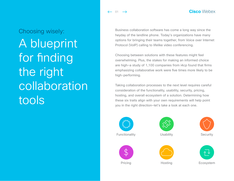$\leftarrow$  01  $\rightarrow$ 

#### **Cisco** Webex

## <span id="page-2-0"></span>Choosing wisely: A blueprint for finding the right collaboration tools

Business collaboration software has come a long way since the heyday of the landline phone. Today's organizations have many options for bringing their teams together, from Voice over Internet Protocol (VoIP) calling to lifelike video conferencing.

Choosing between solutions with these features might feel overwhelming. Plus, the stakes for making an informed choice are high—a study of 1,100 companies from i4cp found that firms emphasizing collaborative work were five times more likely to be high-performing.

Taking collaboration processes to the next level requires careful consideration of the functionality, usability, security, pricing, hosting, and overall ecosystem of a solution. Determining how these six traits align with your own requirements will help point you in the right direction—let's take a look at each one.



Functionality







**Usability** 



**Hosting** 



Ecosystem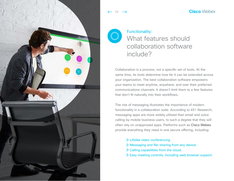<span id="page-3-0"></span>

02

#### Functionality: What features should collaboration software include?

**Cisco** Webex

Collaboration is a process, not a specific set of tools. At the same time, its tools determine how far it can be extended across your organization. The best collaboration software empowers your teams to meet anytime, anywhere, and over their preferred communications channels. It doesn't limit them to a few features that don't fit naturally into their workflows.

The rise of messaging illustrates the importance of modern functionality in a collaboration suite. According to 451 Research, messaging apps are more widely utilized than email and voice calling by mobile business users, to such a degree that they will often rely on unapproved apps. Platforms such as [Cisco Webex](https://www.webex.com/pricing/free-trial-DG.html?DG=03-05-52-US-39-01-05-10&TrackID=1034310) provide everything they need in one secure offering, including:

- Lifelike video conferencing
- Messaging and file-sharing from any device.
- $\triangleright$  Calling capabilities from the cloud.
- $\triangleright$  Easy meeting controls, including web browser support.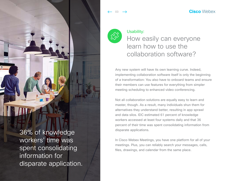<span id="page-4-0"></span>

36% of knowledge workers' time was spent consolidating information for disparate application.  $03 \rightarrow$ 



Usability:

How easily can everyone learn how to use the collaboration software?

Any new system will have its own learning curve. Indeed, implementing collaboration software itself is only the beginning of a transformation: You also have to onboard teams and ensure their members can use features for everything from simpler meeting scheduling to enhanced video conferencing.

Not all collaboration solutions are equally easy to learn and master, though. As a result, many individuals shun them for alternatives they understand better, resulting in app sprawl and data silos. IDC estimated 61 percent of knowledge workers accessed at least four systems daily and that 36 percent of their time was spent consolidating information from disparate applications.

In Cisco Webex Meetings, you have one platform for all of your meetings. Plus, you can reliably search your messages, calls, files, drawings, and calendar from the same place.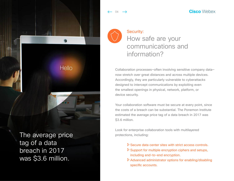04  $\rightarrow$ 



#### Security: How safe are your communications and information?

Collaboration processes—often involving sensitive company data now stretch over great distances and across multiple devices. Accordingly, they are particularly vulnerable to cyberattacks designed to intercept communications by exploiting even the smallest openings in physical, network, platform, or device security.

Your collaboration software must be secure at every point, since the costs of a breach can be substantial. The Ponemon Institute estimated the average price tag of a data breach in 2017 was \$3.6 million.

Look for enterprise collaboration tools with multilayered protections, including:

- $\triangleright$  Secure data center sites with strict access controls.
- $\triangleright$  Support for multiple encryption ciphers and setups, including end-to-end encryption.
- $\triangleright$  Advanced administrator options for enabling/disabling specific accounts.

The average price tag of a data breach in 2017 was \$3.6 million.

<span id="page-5-0"></span> $\bullet$ 

**Hello**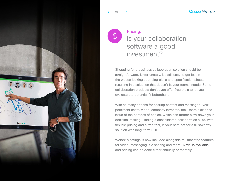<span id="page-6-0"></span>

Pricing: Is your collaboration software a good investment?

05

 $\beta$ 

Shopping for a business collaboration solution should be straightforward. Unfortunately, it's still easy to get lost in the weeds looking at pricing plans and specification sheets, resulting in a selection that doesn't fit your teams' needs. Some collaboration products don't even offer free trials to let you evaluate the potential fit beforehand.

With so many options for sharing content and messages—VoIP, persistent chats, video, company intranets, etc.—there's also the issue of the paradox of choice, which can further slow down your decision-making. Finding a consolidated collaboration suite, with flexible pricing and a free trial, is your best bet for a trustworthy solution with long-term ROI.

Webex Meetings is now included alongside multifaceted features for video, messaging, file sharing and more. [A trial is available](https://www.webex.com/pricing/free-trial-DG.html%3FDG%3D03-05-52-US-39-01-05-10%26TrackID%3D1034310) and pricing can be done either annually or monthly.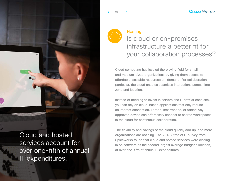<span id="page-7-0"></span>

Cloud and hosted services account for over one-fifth of annual IT expenditures.

Hosting:

06

Is cloud or on-premises infrastructure a better fit for your collaboration processes?

**Cisco** Webex

Cloud computing has leveled the playing field for small and medium-sized organizations by giving them access to affordable, scalable resources on-demand. For collaboration in particular, the cloud enables seamless interactions across time zone and locations.

Instead of needing to invest in servers and IT staff at each site, you can rely on cloud-based applications that only require an internet connection. Laptop, smartphone, or tablet: Any approved device can effortlessly connect to shared workspaces in the cloud for continuous collaboration.

The flexibility and savings of the cloud quickly add up, and more organizations are noticing. The 2018 State of IT survey from Spiceworks found that cloud and hosted services were closing in on software as the second largest average budget allocation, at over one-fifth of annual IT expenditures.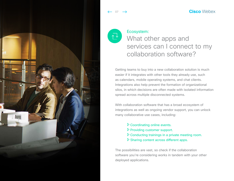<span id="page-8-0"></span>

Ecosystem:

 $07 \rightarrow$ 

### What other apps and services can I connect to my collaboration software?

Getting teams to buy into a new collaboration solution is much easier if it integrates with other tools they already use, such as calendars, mobile operating systems, and chat clients. Integrations also help prevent the formation of organizational silos, in which decisions are often made with isolated information spread across multiple disconnected systems.

With collaboration software that has a broad ecosystem of integrations as well as ongoing vendor support, you can unlock many collaborative use cases, including:

- Coordinating online events. Providing customer support.
- $\triangleright$  Conducting trainings in a private meeting room.
- Sharing content across different apps.

The possibilities are vast, so check if the collaboration software you're considering works in tandem with your other deployed applications.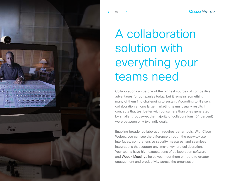<span id="page-9-0"></span>

# A collaboration solution with everything your teams need

08

Collaboration can be one of the biggest sources of competitive advantages for companies today, but it remains something many of them find challenging to sustain. According to Nielsen, collaboration among large marketing teams usually results in concepts that test better with consumers than ones generated by smaller groups—yet the majority of collaborations (54 percent) were between only two individuals.

Enabling broader collaboration requires better tools. With Cisco Webex, you can see the difference through the easy-to-use interfaces, comprehensive security measures, and seamless integrations that support anytime-anywhere collaboration. Your teams have high expectations of collaboration software and [Webex Meetings](https://www.webex.com/pricing/free-trial-DG.html%3FDG%3D03-05-52-US-39-01-05-10%26TrackID%3D1034310) helps you meet them en route to greater engagement and productivity across the organization.